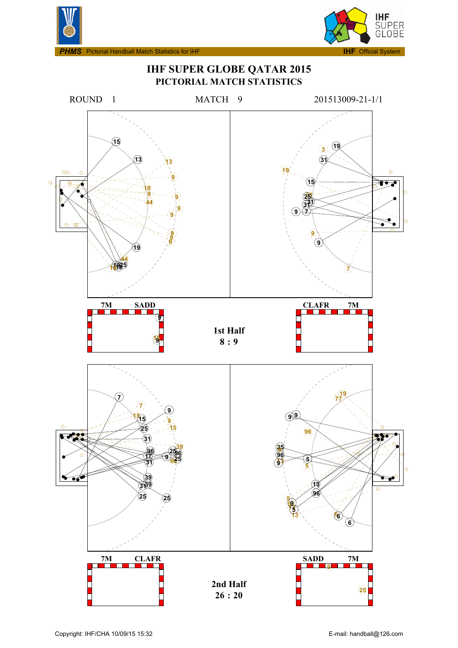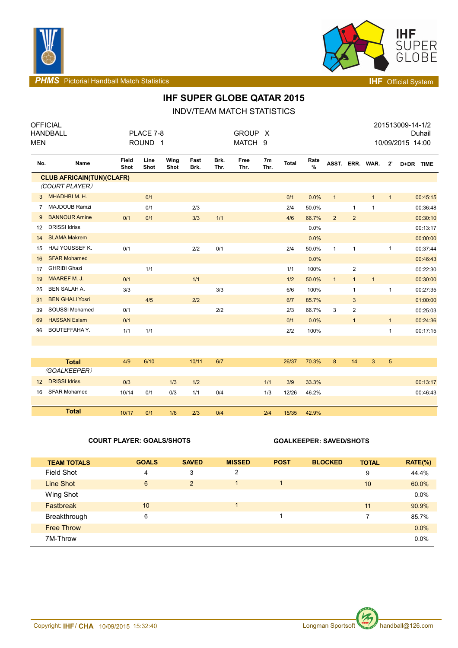



**PHMS** Pictorial Handball Match Statistics **INF** Official System

# **IHF SUPER GLOBE QATAR 2015**

INDV/TEAM MATCH STATISTICS

| <b>MEN</b>        | <b>OFFICIAL</b><br><b>HANDBALL</b> |               | PLACE 7-8<br>ROUND <sub>1</sub> |              |              |              | GROUP X<br>MATCH 9 |                        |              |           |                 |                |              |              | 201513009-14-1/2<br>10/09/2015 14:00 | Duhail   |
|-------------------|------------------------------------|---------------|---------------------------------|--------------|--------------|--------------|--------------------|------------------------|--------------|-----------|-----------------|----------------|--------------|--------------|--------------------------------------|----------|
| No.               | Name                               | Field<br>Shot | Line<br>Shot                    | Wing<br>Shot | Fast<br>Brk. | Brk.<br>Thr. | Free<br>Thr.       | 7 <sub>m</sub><br>Thr. | <b>Total</b> | Rate<br>% | ASST. ERR. WAR. |                |              | $2^{\circ}$  | D+DR TIME                            |          |
|                   | <b>CLUB AFRICAIN(TUN)(CLAFR)</b>   |               |                                 |              |              |              |                    |                        |              |           |                 |                |              |              |                                      |          |
|                   | (COURT PLAYER)                     |               |                                 |              |              |              |                    |                        |              |           |                 |                |              |              |                                      |          |
| 3                 | MHADHBIM. H.                       |               | 0/1                             |              |              |              |                    |                        | 0/1          | 0.0%      | $\mathbf{1}$    |                | $\mathbf{1}$ | 1            |                                      | 00:45:15 |
| $\overline{7}$    | MAJDOUB Ramzi                      |               | 0/1                             |              | 2/3          |              |                    |                        | 2/4          | 50.0%     |                 | 1              | $\mathbf{1}$ |              |                                      | 00:36:48 |
| 9                 | <b>BANNOUR Amine</b>               | 0/1           | 0/1                             |              | 3/3          | 1/1          |                    |                        | 4/6          | 66.7%     | $\overline{2}$  | $\overline{2}$ |              |              |                                      | 00:30:10 |
| 12                | <b>DRISSI Idriss</b>               |               |                                 |              |              |              |                    |                        |              | 0.0%      |                 |                |              |              |                                      | 00:13:17 |
| 14                | <b>SLAMA Makrem</b>                |               |                                 |              |              |              |                    |                        |              | 0.0%      |                 |                |              |              |                                      | 00:00:00 |
| 15                | HAJ YOUSSEF K.                     | 0/1           |                                 |              | 2/2          | 0/1          |                    |                        | 2/4          | 50.0%     | $\mathbf{1}$    | $\mathbf{1}$   |              | 1            |                                      | 00:37:44 |
| 16                | <b>SFAR Mohamed</b>                |               |                                 |              |              |              |                    |                        |              | 0.0%      |                 |                |              |              |                                      | 00:46:43 |
| 17                | <b>GHRIBI Ghazi</b>                |               | 1/1                             |              |              |              |                    |                        | 1/1          | 100%      |                 | 2              |              |              |                                      | 00:22:30 |
| 19                | <b>MAAREF M. J.</b>                | 0/1           |                                 |              | 1/1          |              |                    |                        | 1/2          | 50.0%     | $\mathbf{1}$    | $\mathbf{1}$   | $\mathbf{1}$ |              |                                      | 00:30:00 |
| 25                | <b>BEN SALAH A.</b>                | 3/3           |                                 |              |              | 3/3          |                    |                        | 6/6          | 100%      |                 | 1              |              | 1            |                                      | 00:27:35 |
| 31                | <b>BEN GHALI Yosri</b>             |               | 4/5                             |              | 2/2          |              |                    |                        | 6/7          | 85.7%     |                 | 3              |              |              |                                      | 01:00:00 |
| 39                | SOUSSI Mohamed                     | 0/1           |                                 |              |              | 2/2          |                    |                        | 2/3          | 66.7%     | 3               | $\overline{c}$ |              |              |                                      | 00:25:03 |
| 69                | <b>HASSAN Eslam</b>                | 0/1           |                                 |              |              |              |                    |                        | 0/1          | 0.0%      |                 | $\mathbf{1}$   |              | 1            |                                      | 00:24:36 |
| 96                | <b>BOUTEFFAHAY.</b>                | 1/1           | 1/1                             |              |              |              |                    |                        | 2/2          | 100%      |                 |                |              | $\mathbf{1}$ |                                      | 00:17:15 |
|                   |                                    |               |                                 |              |              |              |                    |                        |              |           |                 |                |              |              |                                      |          |
|                   |                                    |               |                                 |              |              |              |                    |                        |              |           |                 |                |              |              |                                      |          |
|                   | <b>Total</b>                       | 4/9           | 6/10                            |              | 10/11        | 6/7          |                    |                        | 26/37        | 70.3%     | 8               | 14             | 3            | 5            |                                      |          |
|                   | (GOALKEEPER)                       |               |                                 |              |              |              |                    |                        |              |           |                 |                |              |              |                                      |          |
| $12 \overline{ }$ | <b>DRISSI Idriss</b>               | 0/3           |                                 | 1/3          | 1/2          |              |                    | 1/1                    | 3/9          | 33.3%     |                 |                |              |              |                                      | 00:13:17 |
| 16                | <b>SFAR Mohamed</b>                | 10/14         | 0/1                             | 0/3          | 1/1          | 0/4          |                    | 1/3                    | 12/26        | 46.2%     |                 |                |              |              |                                      | 00:46:43 |
|                   |                                    |               |                                 |              |              |              |                    |                        |              |           |                 |                |              |              |                                      |          |
|                   | <b>Total</b>                       | 10/17         | 0/1                             | 1/6          | 2/3          | 0/4          |                    | 2/4                    | 15/35        | 42.9%     |                 |                |              |              |                                      |          |

### **COURT PLAYER: GOALS/SHOTS GOALKEEPER: SAVED/SHOTS**

| <b>TEAM TOTALS</b> | <b>GOALS</b> | <b>SAVED</b>   | <b>MISSED</b> | <b>POST</b> | <b>BLOCKED</b> | <b>TOTAL</b> | $RATE(\%)$ |
|--------------------|--------------|----------------|---------------|-------------|----------------|--------------|------------|
| Field Shot         | 4            | 3              | 2             |             |                | 9            | 44.4%      |
| Line Shot          | 6            | $\overline{2}$ |               |             |                | 10           | 60.0%      |
| Wing Shot          |              |                |               |             |                |              | 0.0%       |
| <b>Fastbreak</b>   | 10           |                |               |             |                | 11           | 90.9%      |
| Breakthrough       | 6            |                |               |             |                | 7            | 85.7%      |
| <b>Free Throw</b>  |              |                |               |             |                |              | 0.0%       |
| 7M-Throw           |              |                |               |             |                |              | 0.0%       |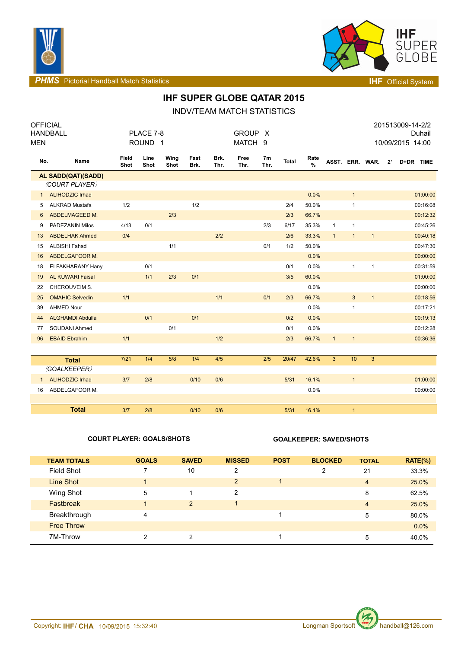



**PHMS** Pictorial Handball Match Statistics **Intervalse and Contract Contract Contract Contract Contract Contract Contract Contract Contract Contract Contract Contract Contract Contract Contract Contract Contract Contract C** 

## **IHF SUPER GLOBE QATAR 2015**

INDV/TEAM MATCH STATISTICS

| <b>OFFICIAL</b> |                         |               |                    |              |              |              |              |                        |              |              |                 |              |              |              | 201513009-14-2/2 |          |
|-----------------|-------------------------|---------------|--------------------|--------------|--------------|--------------|--------------|------------------------|--------------|--------------|-----------------|--------------|--------------|--------------|------------------|----------|
|                 | <b>HANDBALL</b>         |               | PLACE 7-8          |              |              |              | <b>GROUP</b> | $\mathsf{X}$           |              |              |                 |              |              |              |                  | Duhail   |
| <b>MEN</b>      |                         |               | ROUND <sub>1</sub> |              |              |              | MATCH 9      |                        |              |              |                 |              |              |              | 10/09/2015 14:00 |          |
| No.             | Name                    | Field<br>Shot | Line<br>Shot       | Wing<br>Shot | Fast<br>Brk. | Brk.<br>Thr. | Free<br>Thr. | 7 <sub>m</sub><br>Thr. | <b>Total</b> | Rate<br>$\%$ | ASST. ERR. WAR. |              |              | $2^{\prime}$ | D+DR TIME        |          |
|                 | AL SADD(QAT)(SADD)      |               |                    |              |              |              |              |                        |              |              |                 |              |              |              |                  |          |
|                 | (COURT PLAYER)          |               |                    |              |              |              |              |                        |              |              |                 |              |              |              |                  |          |
| 1               | <b>ALIHODZIC Irhad</b>  |               |                    |              |              |              |              |                        |              | 0.0%         |                 | $\mathbf{1}$ |              |              |                  | 01:00:00 |
| 5               | <b>ALKRAD Mustafa</b>   | 1/2           |                    |              | 1/2          |              |              |                        | 2/4          | 50.0%        |                 | $\mathbf{1}$ |              |              |                  | 00:16:08 |
| 6               | ABDELMAGEED M.          |               |                    | 2/3          |              |              |              |                        | 2/3          | 66.7%        |                 |              |              |              |                  | 00:12:32 |
| 9               | PADEZANIN Milos         | 4/13          | 0/1                |              |              |              |              | 2/3                    | 6/17         | 35.3%        | $\mathbf{1}$    | $\mathbf{1}$ |              |              |                  | 00:45:26 |
| 13              | <b>ABDELHAK Ahmed</b>   | 0/4           |                    |              |              | 2/2          |              |                        | 2/6          | 33.3%        | $\mathbf{1}$    | $\mathbf{1}$ | $\mathbf{1}$ |              |                  | 00:40:18 |
| 15              | <b>ALBISHI Fahad</b>    |               |                    | 1/1          |              |              |              | 0/1                    | 1/2          | 50.0%        |                 |              |              |              |                  | 00:47:30 |
| 16              | ABDELGAFOOR M.          |               |                    |              |              |              |              |                        |              | 0.0%         |                 |              |              |              |                  | 00:00:00 |
| 18              | <b>ELFAKHARANY Hany</b> |               | 0/1                |              |              |              |              |                        | 0/1          | 0.0%         |                 | $\mathbf{1}$ | $\mathbf{1}$ |              |                  | 00:31:59 |
| 19              | <b>AL KUWARI Faisal</b> |               | 1/1                | 2/3          | 0/1          |              |              |                        | 3/5          | 60.0%        |                 |              |              |              |                  | 01:00:00 |
| 22              | CHEROUVEIM S.           |               |                    |              |              |              |              |                        |              | 0.0%         |                 |              |              |              |                  | 00:00:00 |
| 25              | <b>OMAHIC Selvedin</b>  | 1/1           |                    |              |              | 1/1          |              | 0/1                    | 2/3          | 66.7%        |                 | $\sqrt{3}$   | $\mathbf{1}$ |              |                  | 00:18:56 |
| 39              | <b>AHMED Nour</b>       |               |                    |              |              |              |              |                        |              | 0.0%         |                 | $\mathbf{1}$ |              |              |                  | 00:17:21 |
| 44              | <b>ALGHAMDI Abdulla</b> |               | 0/1                |              | 0/1          |              |              |                        | 0/2          | 0.0%         |                 |              |              |              |                  | 00:19:13 |
| 77              | SOUDANI Ahmed           |               |                    | 0/1          |              |              |              |                        | 0/1          | 0.0%         |                 |              |              |              |                  | 00:12:28 |
| 96              | <b>EBAID Ebrahim</b>    | 1/1           |                    |              |              | 1/2          |              |                        | 2/3          | 66.7%        | $\mathbf{1}$    | $\mathbf{1}$ |              |              |                  | 00:36:36 |
|                 |                         |               |                    |              |              |              |              |                        |              |              |                 |              |              |              |                  |          |
|                 | <b>Total</b>            | $7/21$        | 1/4                | 5/8          | 1/4          | 4/5          |              | 2/5                    | 20/47        | 42.6%        | 3 <sup>2</sup>  | 10           | 3            |              |                  |          |
|                 | (GOALKEEPER)            |               |                    |              |              |              |              |                        |              |              |                 |              |              |              |                  |          |
| $\mathbf{1}$    | <b>ALIHODZIC Irhad</b>  | 3/7           | 2/8                |              | 0/10         | 0/6          |              |                        | 5/31         | 16.1%        |                 | $\mathbf{1}$ |              |              |                  | 01:00:00 |
| 16              | ABDELGAFOOR M.          |               |                    |              |              |              |              |                        |              | 0.0%         |                 |              |              |              |                  | 00:00:00 |
|                 |                         |               |                    |              |              |              |              |                        |              |              |                 |              |              |              |                  |          |
|                 | <b>Total</b>            | 3/7           | 2/8                |              | 0/10         | 0/6          |              |                        | 5/31         | 16.1%        |                 | $\mathbf{1}$ |              |              |                  |          |

### **COURT PLAYER: GOALS/SHOTS GOALKEEPER: SAVED/SHOTS**

| <b>TEAM TOTALS</b> | <b>GOALS</b> | <b>SAVED</b>  | <b>MISSED</b>  | <b>POST</b> | <b>BLOCKED</b> | <b>TOTAL</b>   | $RATE(\%)$ |
|--------------------|--------------|---------------|----------------|-------------|----------------|----------------|------------|
| <b>Field Shot</b>  |              | 10            | 2              |             | 2              | 21             | 33.3%      |
| Line Shot          |              |               | $\overline{2}$ |             |                | $\overline{4}$ | 25.0%      |
| Wing Shot          | 5            |               | $\overline{2}$ |             |                | 8              | 62.5%      |
| <b>Fastbreak</b>   | 4            | 2             |                |             |                | $\overline{4}$ | 25.0%      |
| Breakthrough       | 4            |               |                |             |                | 5              | 80.0%      |
| <b>Free Throw</b>  |              |               |                |             |                |                | $0.0\%$    |
| 7M-Throw           | 2            | $\mathcal{P}$ |                |             |                | 5              | 40.0%      |